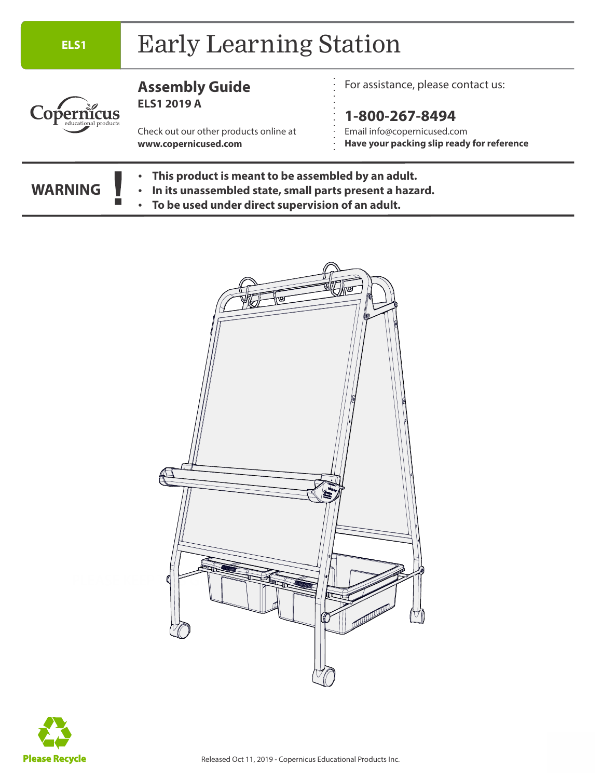#### **ELS1** Early Learning Station **Assembly Guide** For assistance, please contact us: **ELS1 2019 A** Copernicus **1-800-267-8494** Email info@copernicused.com Check out our other products online at **www.copernicused.com Have your packing slip ready for reference • This product is meant to be assembled by an adult. WARNING • In its unassembled state, small parts present a hazard. • To be used under direct supervision of an adult.**



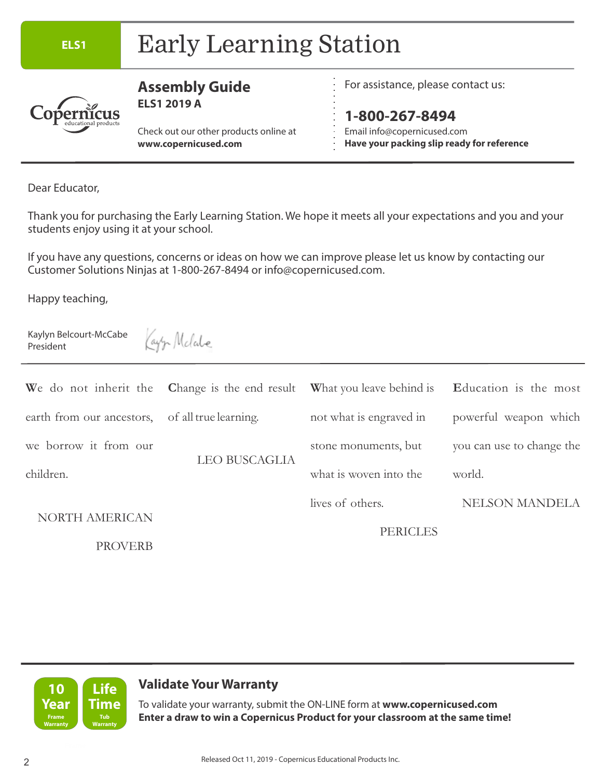# **ELS1** Early Learning Station



#### **Assembly Guide ELS1 2019 A**

Check out our other products online at **www.copernicused.com**

For assistance, please contact us:

**1-800-267-8494** Email info@copernicused.com **Have your packing slip ready for reference**

Dear Educator,

Thank you for purchasing the Early Learning Station. We hope it meets all your expectations and you and your students enjoy using it at your school.

If you have any questions, concerns or ideas on how we can improve please let us know by contacting our Customer Solutions Ninjas at 1-800-267-8494 or info@copernicused.com.

Happy teaching,

Kaylyn Belcourt-McCabe President

Kay'y Molale

|                           | We do not inherit the Change is the end result What you leave behind is Education is the most |                         |                           |
|---------------------------|-----------------------------------------------------------------------------------------------|-------------------------|---------------------------|
| earth from our ancestors, | of all true learning.                                                                         | not what is engraved in | powerful weapon which     |
| we borrow it from our     | <b>LEO BUSCAGLIA</b>                                                                          | stone monuments, but    | you can use to change the |
| children.                 |                                                                                               | what is woven into the  | world.                    |
| <b>NORTH AMERICAN</b>     |                                                                                               | lives of others.        | <b>NELSON MANDELA</b>     |
|                           |                                                                                               | <b>PERICLES</b>         |                           |
| <b>PROVERB</b>            |                                                                                               |                         |                           |



### **Validate Your Warranty**

**Year** Time To validate your warranty, submit the ON-LINE form at www.copernicused.com **Enter a draw to win a Copernicus Product for your classroom at the same time!**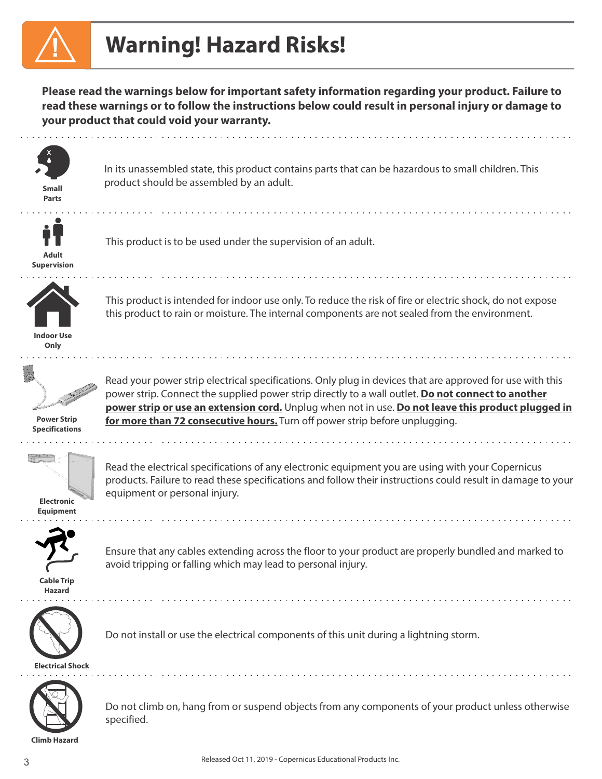# **Warning! Hazard Risks!**

**Please read the warnings below for important safety information regarding your product. Failure to read these warnings or to follow the instructions below could result in personal injury or damage to your product that could void your warranty.** 



**Parts**

In its unassembled state, this product contains parts that can be hazardous to small children. This product should be assembled by an adult. **Small**



This product is to be used under the supervision of an adult.

**Adult Supervision**



This product is intended for indoor use only. To reduce the risk of fire or electric shock, do not expose this product to rain or moisture. The internal components are not sealed from the environment.





**Power Strip Specifications**



Read the electrical specifications of any electronic equipment you are using with your Copernicus products. Failure to read these specifications and follow their instructions could result in damage to your equipment or personal injury.

Read your power strip electrical specifications. Only plug in devices that are approved for use with this power strip. Connect the supplied power strip directly to a wall outlet. **Do not connect to another power strip or use an extension cord.** Unplug when not in use. **Do not leave this product plugged in** 

**Electronic Equipment**



Ensure that any cables extending across the floor to your product are properly bundled and marked to avoid tripping or falling which may lead to personal injury.

**Cable Trip Hazard**



Do not install or use the electrical components of this unit during a lightning storm.

**for more than 72 consecutive hours.** Turn off power strip before unplugging.

Do not climb on, hang from or suspend objects from any components of your product unless otherwise specified.

**Climb Hazard**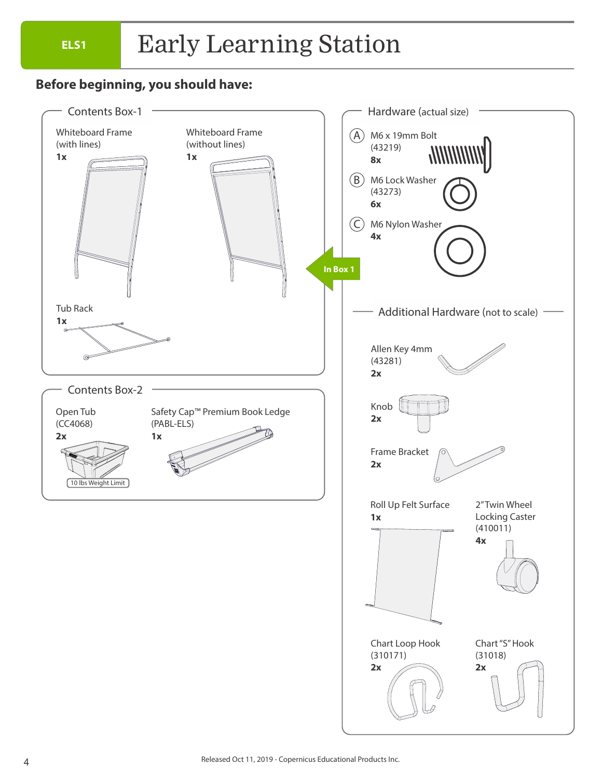# **ELS1** Early Learning Station

### **Before beginning, you should have:**

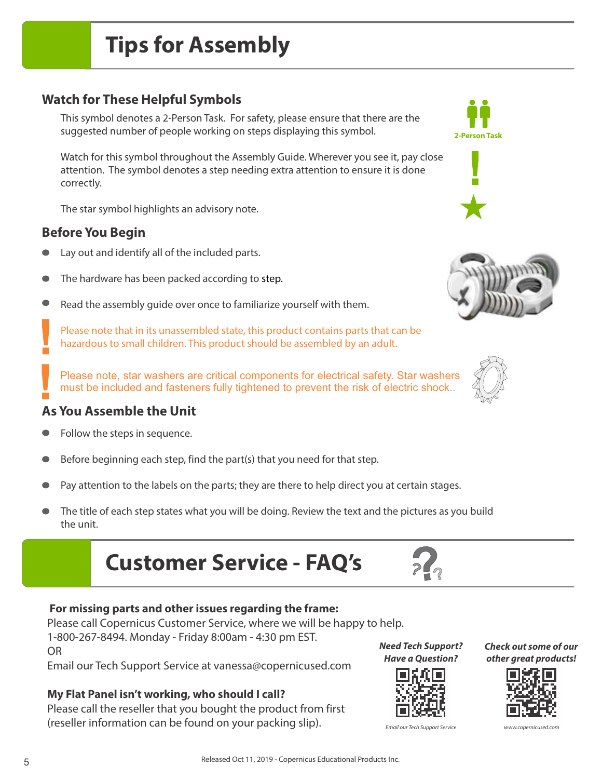## **Watch for These Helpful Symbols**

This symbol denotes a 2-Person Task. For safety, please ensure that there are the suggested number of people working on steps displaying this symbol.

Watch for this symbol throughout the Assembly Guide. Wherever you see it, pay close attention. The symbol denotes a step needing extra attention to ensure it is done correctly.

The star symbol highlights an advisory note.

### **Before You Begin**

- Lay out and identify all of the included parts.
- The hardware has been packed according to step.  $\bullet$
- Read the assembly guide over once to familiarize yourself with them.  $\bullet$

Please note that in its unassembled state, this product contains parts that can be hazardous to small children. This product should be assembled by an adult.

Please note, star washers are critical components for electrical safety. Star washers must be included and fasteners fully tightened to prevent the risk of electric shock..

# **As You Assemble the Unit !**

- Follow the steps in sequence.
- Before beginning each step, find the part(s) that you need for that step.
- Pay attention to the labels on the parts; they are there to help direct you at certain stages.
- The title of each step states what you will be doing. Review the text and the pictures as you build the unit.
	- **Customer Service FAQ's**

#### **For missing parts and other issues regarding the frame:**

Please call Copernicus Customer Service, where we will be happy to help.

1-800-267-8494. Monday - Friday 8:00am - 4:30 pm EST. OR

Email our Tech Support Service at vanessa@copernicused.com

#### **My Flat Panel isn't working, who should I call?**

Please call the reseller that you bought the product from first (reseller information can be found on your packing slip).

**Need Tech Support? Have a Question?**

**???**





**Check out some of our other great products!**







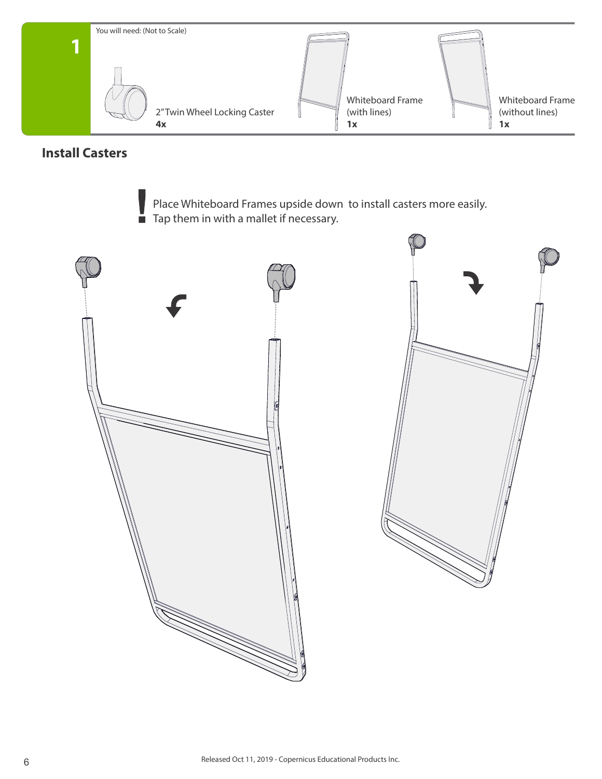

### **Install Casters**

Place Whiteboard Frames upside down to install casters more easily. Tap them in with a mallet if necessary.



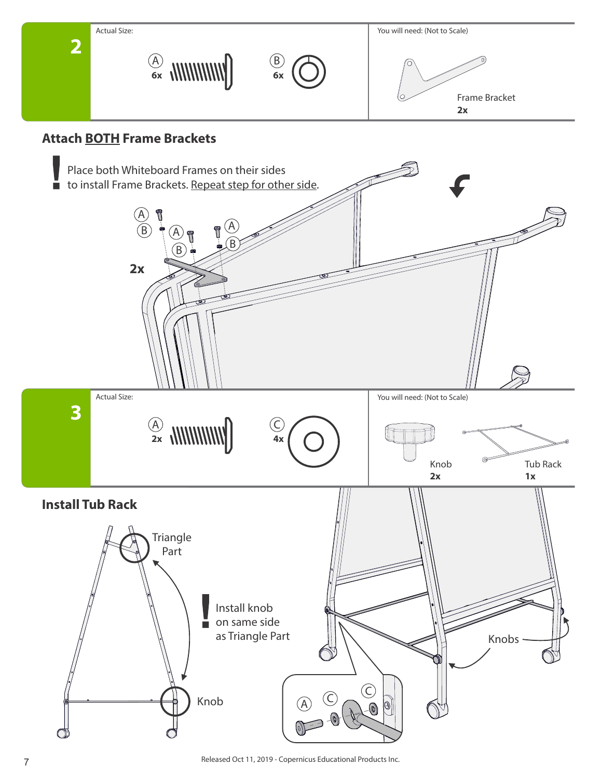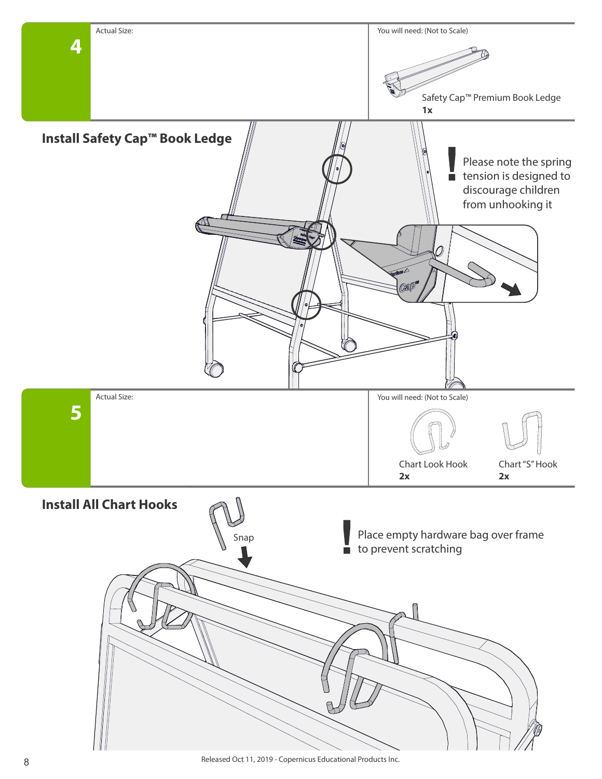

Released Oct 11, 2019 - Copernicus Educational Products Inc. 8